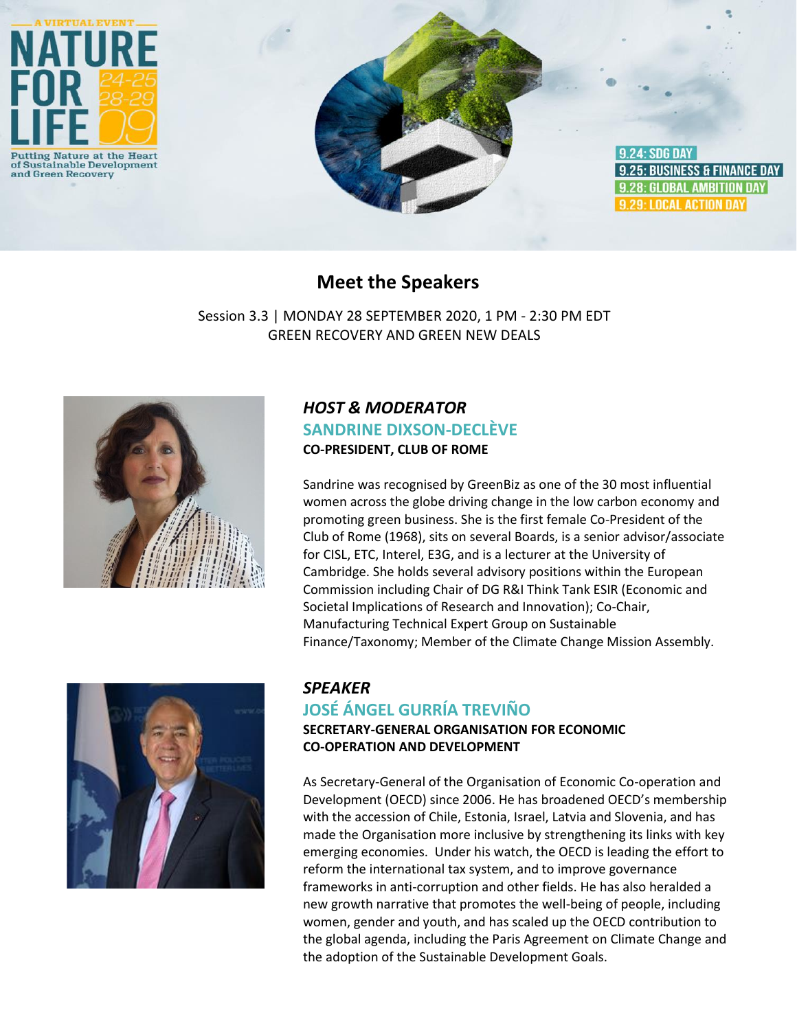

## **Meet the Speakers**

Session 3.3 | MONDAY 28 SEPTEMBER 2020, 1 PM - 2:30 PM EDT GREEN RECOVERY AND GREEN NEW DEALS



## *HOST & MODERATOR* **SANDRINE DIXSON-DECLÈVE CO-PRESIDENT, CLUB OF ROME**

Sandrine was recognised by GreenBiz as one of the 30 most influential women across the globe driving change in the low carbon economy and promoting green business. She is the first female Co-President of the Club of Rome (1968), sits on several Boards, is a senior advisor/associate for CISL, ETC, Interel, E3G, and is a lecturer at the University of Cambridge. She holds several advisory positions within the European Commission including Chair of DG R&I Think Tank ESIR (Economic and Societal Implications of Research and Innovation); Co-Chair, Manufacturing Technical Expert Group on Sustainable Finance/Taxonomy; Member of the Climate Change Mission Assembly.



#### *SPEAKER*

## **JOSÉ ÁNGEL GURRÍA TREVIÑO**

**SECRETARY-GENERAL ORGANISATION FOR ECONOMIC CO-OPERATION AND DEVELOPMENT**

As Secretary-General of the Organisation of Economic Co-operation and Development (OECD) since 2006. He has broadened OECD's membership with the accession of Chile, Estonia, Israel, Latvia and Slovenia, and has made the Organisation more inclusive by strengthening its links with key emerging economies. Under his watch, the OECD is leading the effort to reform the international tax system, and to improve governance frameworks in anti-corruption and other fields. He has also heralded a new growth narrative that promotes the well-being of people, including women, gender and youth, and has scaled up the OECD contribution to the global agenda, including the Paris Agreement on Climate Change and the adoption of the Sustainable Development Goals.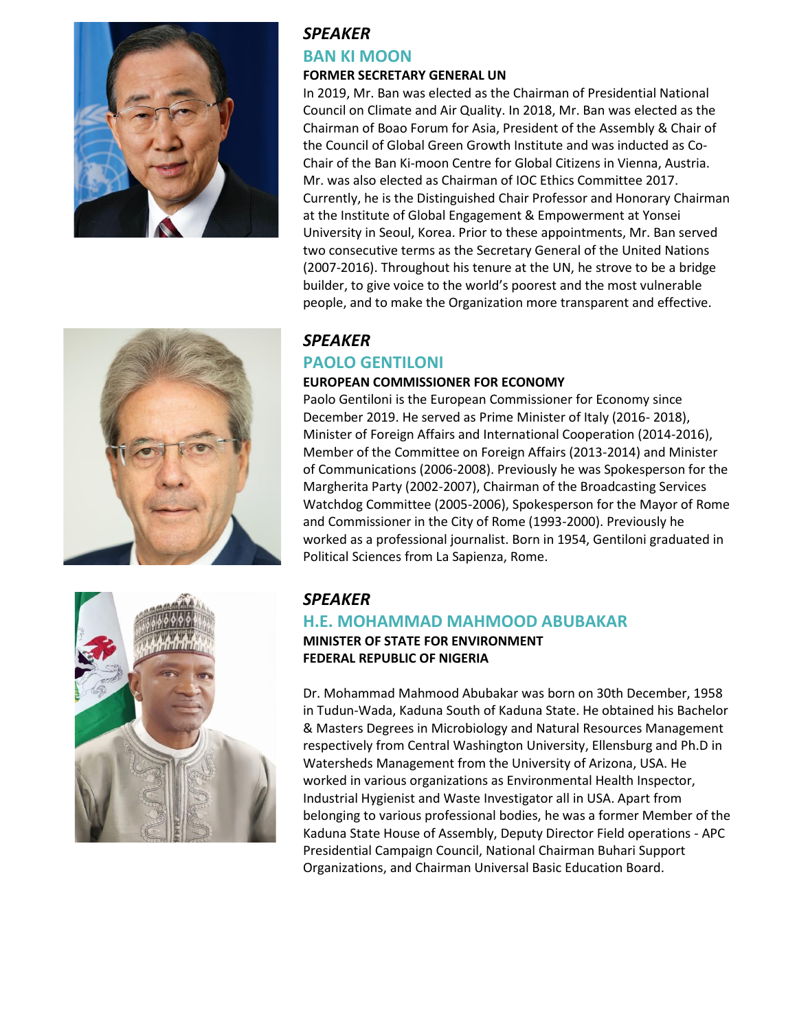



#### **FORMER SECRETARY GENERAL UN**

In 2019, Mr. Ban was elected as the Chairman of Presidential National Council on Climate and Air Quality. In 2018, Mr. Ban was elected as the Chairman of Boao Forum for Asia, President of the Assembly & Chair of the Council of Global Green Growth Institute and was inducted as Co-Chair of the Ban Ki-moon Centre for Global Citizens in Vienna, Austria. Mr. was also elected as Chairman of IOC Ethics Committee 2017. Currently, he is the Distinguished Chair Professor and Honorary Chairman at the Institute of Global Engagement & Empowerment at Yonsei University in Seoul, Korea. Prior to these appointments, Mr. Ban served two consecutive terms as the Secretary General of the United Nations (2007-2016). Throughout his tenure at the UN, he strove to be a bridge builder, to give voice to the world's poorest and the most vulnerable people, and to make the Organization more transparent and effective.





#### *SPEAKER*

### **PAOLO GENTILONI**

#### **EUROPEAN COMMISSIONER FOR ECONOMY**

Paolo Gentiloni is the European Commissioner for Economy since December 2019. He served as Prime Minister of Italy (2016- 2018), Minister of Foreign Affairs and International Cooperation (2014-2016), Member of the Committee on Foreign Affairs (2013-2014) and Minister of Communications (2006-2008). Previously he was Spokesperson for the Margherita Party (2002-2007), Chairman of the Broadcasting Services Watchdog Committee (2005-2006), Spokesperson for the Mayor of Rome and Commissioner in the City of Rome (1993-2000). Previously he worked as a professional journalist. Born in 1954, Gentiloni graduated in Political Sciences from La Sapienza, Rome.

# *SPEAKER*

#### **H.E. MOHAMMAD MAHMOOD ABUBAKAR MINISTER OF STATE FOR ENVIRONMENT FEDERAL REPUBLIC OF NIGERIA**

Dr. Mohammad Mahmood Abubakar was born on 30th December, 1958 in Tudun-Wada, Kaduna South of Kaduna State. He obtained his Bachelor & Masters Degrees in Microbiology and Natural Resources Management respectively from Central Washington University, Ellensburg and Ph.D in Watersheds Management from the University of Arizona, USA. He worked in various organizations as Environmental Health Inspector, Industrial Hygienist and Waste Investigator all in USA. Apart from belonging to various professional bodies, he was a former Member of the Kaduna State House of Assembly, Deputy Director Field operations - APC Presidential Campaign Council, National Chairman Buhari Support Organizations, and Chairman Universal Basic Education Board.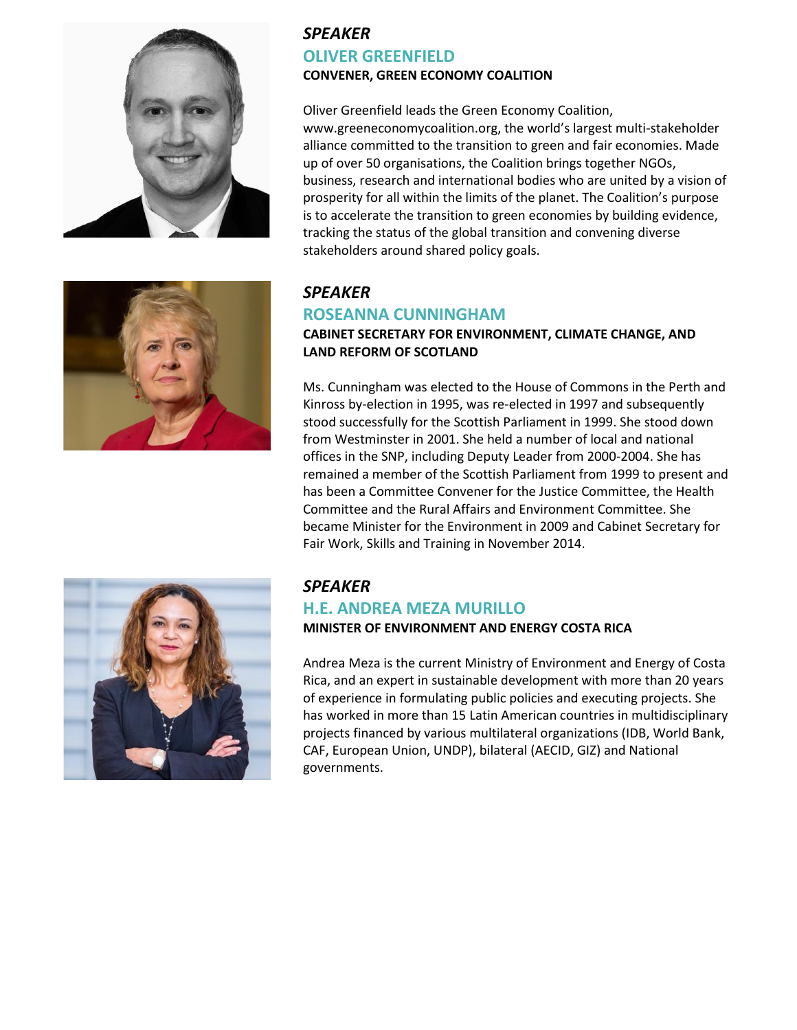

## *SPEAKER*  **OLIVER GREENFIELD CONVENER, GREEN ECONOMY COALITION**

Oliver Greenfield leads the Green Economy Coalition, www.greeneconomycoalition.org, the world's largest multi-stakeholder alliance committed to the transition to green and fair economies. Made up of over 50 organisations, the Coalition brings together NGOs, business, research and international bodies who are united by a vision of prosperity for all within the limits of the planet. The Coalition's purpose is to accelerate the transition to green economies by building evidence, tracking the status of the global transition and convening diverse stakeholders around shared policy goals.



## *SPEAKER*

#### **ROSEANNA CUNNINGHAM**

#### **CABINET SECRETARY FOR ENVIRONMENT, CLIMATE CHANGE, AND LAND REFORM OF SCOTLAND**

Ms. Cunningham was elected to the House of Commons in the Perth and Kinross by-election in 1995, was re-elected in 1997 and subsequently stood successfully for the Scottish Parliament in 1999. She stood down from Westminster in 2001. She held a number of local and national offices in the SNP, including Deputy Leader from 2000-2004. She has remained a member of the Scottish Parliament from 1999 to present and has been a Committee Convener for the Justice Committee, the Health Committee and the Rural Affairs and Environment Committee. She became Minister for the Environment in 2009 and Cabinet Secretary for Fair Work, Skills and Training in November 2014.



## *SPEAKER*

# **H.E. ANDREA MEZA MURILLO**

#### **MINISTER OF ENVIRONMENT AND ENERGY COSTA RICA**

Andrea Meza is the current Ministry of Environment and Energy of Costa Rica, and an expert in sustainable development with more than 20 years of experience in formulating public policies and executing projects. She has worked in more than 15 Latin American countries in multidisciplinary projects financed by various multilateral organizations (IDB, World Bank, CAF, European Union, UNDP), bilateral (AECID, GIZ) and National governments.